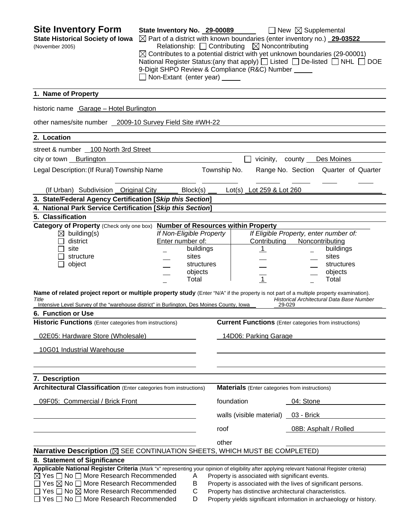| <b>Site Inventory Form</b><br><b>State Historical Society of Iowa</b><br>(November 2005)                                                                                                                                                                                                                                                                                                                                                                                                                                                                        | State Inventory No. 29-00089<br>Non-Extant (enter year) _____                                        | $\boxtimes$ Part of a district with known boundaries (enter inventory no.) 29-03522<br>Relationship: $\Box$ Contributing $\boxtimes$ Noncontributing<br>9-Digit SHPO Review & Compliance (R&C) Number _____ | $\Box$ New $\boxtimes$ Supplemental<br>$\boxtimes$ Contributes to a potential district with yet unknown boundaries (29-00001)<br>National Register Status: (any that apply) $\Box$ Listed $\Box$ De-listed $\Box$ NHL $\Box$ DOE          |
|-----------------------------------------------------------------------------------------------------------------------------------------------------------------------------------------------------------------------------------------------------------------------------------------------------------------------------------------------------------------------------------------------------------------------------------------------------------------------------------------------------------------------------------------------------------------|------------------------------------------------------------------------------------------------------|-------------------------------------------------------------------------------------------------------------------------------------------------------------------------------------------------------------|-------------------------------------------------------------------------------------------------------------------------------------------------------------------------------------------------------------------------------------------|
| 1. Name of Property                                                                                                                                                                                                                                                                                                                                                                                                                                                                                                                                             |                                                                                                      |                                                                                                                                                                                                             |                                                                                                                                                                                                                                           |
| historic name Garage - Hotel Burlington                                                                                                                                                                                                                                                                                                                                                                                                                                                                                                                         |                                                                                                      |                                                                                                                                                                                                             |                                                                                                                                                                                                                                           |
| other names/site number 2009-10 Survey Field Site #WH-22                                                                                                                                                                                                                                                                                                                                                                                                                                                                                                        |                                                                                                      |                                                                                                                                                                                                             |                                                                                                                                                                                                                                           |
| 2. Location                                                                                                                                                                                                                                                                                                                                                                                                                                                                                                                                                     |                                                                                                      |                                                                                                                                                                                                             |                                                                                                                                                                                                                                           |
| street & number 100 North 3rd Street                                                                                                                                                                                                                                                                                                                                                                                                                                                                                                                            |                                                                                                      |                                                                                                                                                                                                             |                                                                                                                                                                                                                                           |
| city or town Burlington                                                                                                                                                                                                                                                                                                                                                                                                                                                                                                                                         |                                                                                                      | vicinity,                                                                                                                                                                                                   | county Des Moines                                                                                                                                                                                                                         |
| Legal Description: (If Rural) Township Name                                                                                                                                                                                                                                                                                                                                                                                                                                                                                                                     |                                                                                                      | Township No.                                                                                                                                                                                                | Range No. Section Quarter of Quarter                                                                                                                                                                                                      |
| (If Urban) Subdivision Original City                                                                                                                                                                                                                                                                                                                                                                                                                                                                                                                            | Block(s)                                                                                             | Lot(s) Lot 259 & Lot 260                                                                                                                                                                                    |                                                                                                                                                                                                                                           |
| 3. State/Federal Agency Certification [Skip this Section]                                                                                                                                                                                                                                                                                                                                                                                                                                                                                                       |                                                                                                      |                                                                                                                                                                                                             |                                                                                                                                                                                                                                           |
| 4. National Park Service Certification [Skip this Section]                                                                                                                                                                                                                                                                                                                                                                                                                                                                                                      |                                                                                                      |                                                                                                                                                                                                             |                                                                                                                                                                                                                                           |
| 5. Classification                                                                                                                                                                                                                                                                                                                                                                                                                                                                                                                                               |                                                                                                      |                                                                                                                                                                                                             |                                                                                                                                                                                                                                           |
| Category of Property (Check only one box) Number of Resources within Property<br>$\boxtimes$ building(s)<br>district<br>site<br>structure<br>object<br>Name of related project report or multiple property study (Enter "N/A" if the property is not part of a multiple property examination).<br>Title<br>Intensive Level Survey of the "warehouse district" in Burlington, Des Moines County, Iowa<br>6. Function or Use<br><b>Historic Functions</b> (Enter categories from instructions)<br>02E05: Hardware Store (Wholesale)<br>10G01 Industrial Warehouse | If Non-Eligible Property<br>Enter number of:<br>buildings<br>sites<br>structures<br>objects<br>Total | Contributing<br>$\perp$<br>$\overline{1}$<br>14D06: Parking Garage                                                                                                                                          | If Eligible Property, enter number of:<br>Noncontributing<br>buildings<br>sites<br>structures<br>objects<br>Total<br>Historical Architectural Data Base Number<br>29-029<br><b>Current Functions</b> (Enter categories from instructions) |
| 7. Description                                                                                                                                                                                                                                                                                                                                                                                                                                                                                                                                                  |                                                                                                      |                                                                                                                                                                                                             |                                                                                                                                                                                                                                           |
| <b>Architectural Classification</b> (Enter categories from instructions)                                                                                                                                                                                                                                                                                                                                                                                                                                                                                        |                                                                                                      | <b>Materials</b> (Enter categories from instructions)                                                                                                                                                       |                                                                                                                                                                                                                                           |
| 09F05: Commercial / Brick Front                                                                                                                                                                                                                                                                                                                                                                                                                                                                                                                                 |                                                                                                      | foundation                                                                                                                                                                                                  | 04: Stone                                                                                                                                                                                                                                 |
|                                                                                                                                                                                                                                                                                                                                                                                                                                                                                                                                                                 |                                                                                                      | walls (visible material) 03 - Brick                                                                                                                                                                         |                                                                                                                                                                                                                                           |
|                                                                                                                                                                                                                                                                                                                                                                                                                                                                                                                                                                 |                                                                                                      | roof                                                                                                                                                                                                        | 08B: Asphalt / Rolled                                                                                                                                                                                                                     |
|                                                                                                                                                                                                                                                                                                                                                                                                                                                                                                                                                                 |                                                                                                      | other                                                                                                                                                                                                       |                                                                                                                                                                                                                                           |
| Narrative Description (X SEE CONTINUATION SHEETS, WHICH MUST BE COMPLETED)                                                                                                                                                                                                                                                                                                                                                                                                                                                                                      |                                                                                                      |                                                                                                                                                                                                             |                                                                                                                                                                                                                                           |
| 8. Statement of Significance                                                                                                                                                                                                                                                                                                                                                                                                                                                                                                                                    |                                                                                                      |                                                                                                                                                                                                             |                                                                                                                                                                                                                                           |
| Applicable National Register Criteria (Mark "x" representing your opinion of eligibility after applying relevant National Register criteria)<br>$\boxtimes$ Yes $\Box$ No $\Box$ More Research Recommended<br>$\Box$ Yes $\boxtimes$ No $\Box$ More Research Recommended<br>$\Box$ Yes $\Box$ No $\boxtimes$ More Research Recommended<br>Yes □ No □ More Research Recommended                                                                                                                                                                                  | Α<br>B<br>С<br>D                                                                                     | Property is associated with significant events.<br>Property is associated with the lives of significant persons.<br>Property has distinctive architectural characteristics.                                 | Property yields significant information in archaeology or history.                                                                                                                                                                        |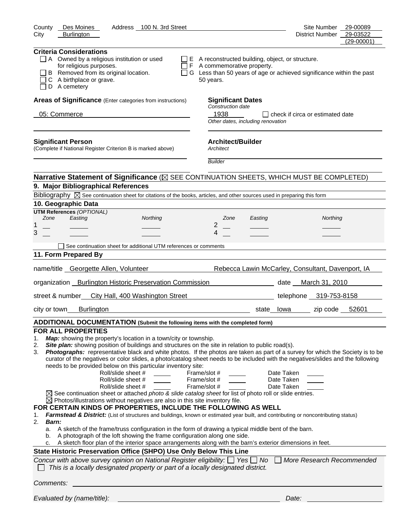| Address 100 N. 3rd Street<br>County<br>Des Moines                                                                                                                                                                                                                                                                                                                                                                                                                                                                                                                                                                                                                                                                                                                                                                                                                                                                                                                                                                                                                                                                                                                                                                                                                                                                                                                                                                                                                                                                                                                                                                                                                                                                    | Site Number                                                         | 29-00089                   |
|----------------------------------------------------------------------------------------------------------------------------------------------------------------------------------------------------------------------------------------------------------------------------------------------------------------------------------------------------------------------------------------------------------------------------------------------------------------------------------------------------------------------------------------------------------------------------------------------------------------------------------------------------------------------------------------------------------------------------------------------------------------------------------------------------------------------------------------------------------------------------------------------------------------------------------------------------------------------------------------------------------------------------------------------------------------------------------------------------------------------------------------------------------------------------------------------------------------------------------------------------------------------------------------------------------------------------------------------------------------------------------------------------------------------------------------------------------------------------------------------------------------------------------------------------------------------------------------------------------------------------------------------------------------------------------------------------------------------|---------------------------------------------------------------------|----------------------------|
| City<br><b>Burlington</b>                                                                                                                                                                                                                                                                                                                                                                                                                                                                                                                                                                                                                                                                                                                                                                                                                                                                                                                                                                                                                                                                                                                                                                                                                                                                                                                                                                                                                                                                                                                                                                                                                                                                                            | <b>District Number</b>                                              | 29-03522<br>$(29 - 00001)$ |
| <b>Criteria Considerations</b><br>$\Box$ A Owned by a religious institution or used<br>$\Box$ E A reconstructed building, object, or structure.<br>for religious purposes.<br>F A commemorative property.<br>$\Box$<br>B Removed from its original location.<br>П<br>G Less than 50 years of age or achieved significance within the past<br>C A birthplace or grave.<br>50 years.<br>D A cemetery                                                                                                                                                                                                                                                                                                                                                                                                                                                                                                                                                                                                                                                                                                                                                                                                                                                                                                                                                                                                                                                                                                                                                                                                                                                                                                                   |                                                                     |                            |
| Areas of Significance (Enter categories from instructions)<br><b>Significant Dates</b>                                                                                                                                                                                                                                                                                                                                                                                                                                                                                                                                                                                                                                                                                                                                                                                                                                                                                                                                                                                                                                                                                                                                                                                                                                                                                                                                                                                                                                                                                                                                                                                                                               |                                                                     |                            |
| Construction date<br>1938<br>05: Commerce<br>Other dates, including renovation                                                                                                                                                                                                                                                                                                                                                                                                                                                                                                                                                                                                                                                                                                                                                                                                                                                                                                                                                                                                                                                                                                                                                                                                                                                                                                                                                                                                                                                                                                                                                                                                                                       | $\Box$ check if circa or estimated date                             |                            |
| <b>Significant Person</b><br><b>Architect/Builder</b><br>(Complete if National Register Criterion B is marked above)<br>Architect                                                                                                                                                                                                                                                                                                                                                                                                                                                                                                                                                                                                                                                                                                                                                                                                                                                                                                                                                                                                                                                                                                                                                                                                                                                                                                                                                                                                                                                                                                                                                                                    |                                                                     |                            |
| <b>Builder</b>                                                                                                                                                                                                                                                                                                                                                                                                                                                                                                                                                                                                                                                                                                                                                                                                                                                                                                                                                                                                                                                                                                                                                                                                                                                                                                                                                                                                                                                                                                                                                                                                                                                                                                       |                                                                     |                            |
| Narrative Statement of Significance ( $\boxtimes$ SEE CONTINUATION SHEETS, WHICH MUST BE COMPLETED)                                                                                                                                                                                                                                                                                                                                                                                                                                                                                                                                                                                                                                                                                                                                                                                                                                                                                                                                                                                                                                                                                                                                                                                                                                                                                                                                                                                                                                                                                                                                                                                                                  |                                                                     |                            |
| 9. Major Bibliographical References                                                                                                                                                                                                                                                                                                                                                                                                                                                                                                                                                                                                                                                                                                                                                                                                                                                                                                                                                                                                                                                                                                                                                                                                                                                                                                                                                                                                                                                                                                                                                                                                                                                                                  |                                                                     |                            |
| Bibliography $\boxtimes$ See continuation sheet for citations of the books, articles, and other sources used in preparing this form                                                                                                                                                                                                                                                                                                                                                                                                                                                                                                                                                                                                                                                                                                                                                                                                                                                                                                                                                                                                                                                                                                                                                                                                                                                                                                                                                                                                                                                                                                                                                                                  |                                                                     |                            |
| 10. Geographic Data                                                                                                                                                                                                                                                                                                                                                                                                                                                                                                                                                                                                                                                                                                                                                                                                                                                                                                                                                                                                                                                                                                                                                                                                                                                                                                                                                                                                                                                                                                                                                                                                                                                                                                  |                                                                     |                            |
| <b>UTM References (OPTIONAL)</b><br>Zone<br>Easting<br>Northing<br>Zone<br>Easting                                                                                                                                                                                                                                                                                                                                                                                                                                                                                                                                                                                                                                                                                                                                                                                                                                                                                                                                                                                                                                                                                                                                                                                                                                                                                                                                                                                                                                                                                                                                                                                                                                   | Northing                                                            |                            |
| 2<br>1                                                                                                                                                                                                                                                                                                                                                                                                                                                                                                                                                                                                                                                                                                                                                                                                                                                                                                                                                                                                                                                                                                                                                                                                                                                                                                                                                                                                                                                                                                                                                                                                                                                                                                               |                                                                     |                            |
| 3<br>4                                                                                                                                                                                                                                                                                                                                                                                                                                                                                                                                                                                                                                                                                                                                                                                                                                                                                                                                                                                                                                                                                                                                                                                                                                                                                                                                                                                                                                                                                                                                                                                                                                                                                                               |                                                                     |                            |
| See continuation sheet for additional UTM references or comments                                                                                                                                                                                                                                                                                                                                                                                                                                                                                                                                                                                                                                                                                                                                                                                                                                                                                                                                                                                                                                                                                                                                                                                                                                                                                                                                                                                                                                                                                                                                                                                                                                                     |                                                                     |                            |
| 11. Form Prepared By                                                                                                                                                                                                                                                                                                                                                                                                                                                                                                                                                                                                                                                                                                                                                                                                                                                                                                                                                                                                                                                                                                                                                                                                                                                                                                                                                                                                                                                                                                                                                                                                                                                                                                 |                                                                     |                            |
|                                                                                                                                                                                                                                                                                                                                                                                                                                                                                                                                                                                                                                                                                                                                                                                                                                                                                                                                                                                                                                                                                                                                                                                                                                                                                                                                                                                                                                                                                                                                                                                                                                                                                                                      |                                                                     |                            |
| name/title Georgette Allen, Volunteer                                                                                                                                                                                                                                                                                                                                                                                                                                                                                                                                                                                                                                                                                                                                                                                                                                                                                                                                                                                                                                                                                                                                                                                                                                                                                                                                                                                                                                                                                                                                                                                                                                                                                | Rebecca Lawin McCarley, Consultant, Davenport, IA                   |                            |
| organization _Burlington Historic Preservation Commission                                                                                                                                                                                                                                                                                                                                                                                                                                                                                                                                                                                                                                                                                                                                                                                                                                                                                                                                                                                                                                                                                                                                                                                                                                                                                                                                                                                                                                                                                                                                                                                                                                                            | date __ March 31, 2010                                              |                            |
|                                                                                                                                                                                                                                                                                                                                                                                                                                                                                                                                                                                                                                                                                                                                                                                                                                                                                                                                                                                                                                                                                                                                                                                                                                                                                                                                                                                                                                                                                                                                                                                                                                                                                                                      |                                                                     |                            |
| city or town<br>Burlington<br>state__lowa                                                                                                                                                                                                                                                                                                                                                                                                                                                                                                                                                                                                                                                                                                                                                                                                                                                                                                                                                                                                                                                                                                                                                                                                                                                                                                                                                                                                                                                                                                                                                                                                                                                                            | zip code 52601                                                      |                            |
| ADDITIONAL DOCUMENTATION (Submit the following items with the completed form)                                                                                                                                                                                                                                                                                                                                                                                                                                                                                                                                                                                                                                                                                                                                                                                                                                                                                                                                                                                                                                                                                                                                                                                                                                                                                                                                                                                                                                                                                                                                                                                                                                        |                                                                     |                            |
| <b>FOR ALL PROPERTIES</b><br>Map: showing the property's location in a town/city or township.<br>1.<br>Site plan: showing position of buildings and structures on the site in relation to public road(s).<br>2.<br>Photographs: representative black and white photos. If the photos are taken as part of a survey for which the Society is to be<br>3.<br>curator of the negatives or color slides, a photo/catalog sheet needs to be included with the negatives/slides and the following<br>needs to be provided below on this particular inventory site:<br>Roll/slide sheet #<br>Frame/slot #<br>Roll/slide sheet #<br>Frame/slot #<br>Roll/slide sheet #<br>Frame/slot #<br>$\boxtimes$ See continuation sheet or attached <i>photo &amp; slide catalog sheet</i> for list of photo roll or slide entries.<br>$\boxtimes$ Photos/illustrations without negatives are also in this site inventory file.<br>FOR CERTAIN KINDS OF PROPERTIES, INCLUDE THE FOLLOWING AS WELL<br>Farmstead & District: (List of structures and buildings, known or estimated year built, and contributing or noncontributing status)<br>1.<br>2.<br><b>Barn:</b><br>a. A sketch of the frame/truss configuration in the form of drawing a typical middle bent of the barn.<br>A photograph of the loft showing the frame configuration along one side.<br>b.<br>A sketch floor plan of the interior space arrangements along with the barn's exterior dimensions in feet.<br>с.<br>State Historic Preservation Office (SHPO) Use Only Below This Line<br>Concur with above survey opinion on National Register eligibility: $\Box$ Yes $\Box$ No<br>This is a locally designated property or part of a locally designated district. | Date Taken<br>Date Taken<br>Date Taken<br>More Research Recommended |                            |
| Comments:                                                                                                                                                                                                                                                                                                                                                                                                                                                                                                                                                                                                                                                                                                                                                                                                                                                                                                                                                                                                                                                                                                                                                                                                                                                                                                                                                                                                                                                                                                                                                                                                                                                                                                            |                                                                     |                            |
| Evaluated by (name/title):                                                                                                                                                                                                                                                                                                                                                                                                                                                                                                                                                                                                                                                                                                                                                                                                                                                                                                                                                                                                                                                                                                                                                                                                                                                                                                                                                                                                                                                                                                                                                                                                                                                                                           | Date:                                                               |                            |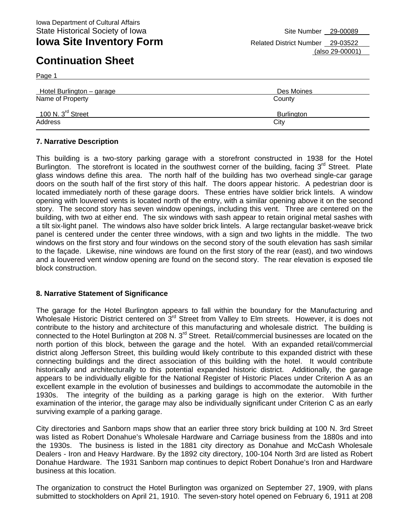Page 1

**Iowa Site Inventory Form** Related District Number 29-03522 (also 29-00001)

| Hotel Burlington - garage     | Des Moines |
|-------------------------------|------------|
| Name of Property              | County     |
| 100 N. $3^{\text{rd}}$ Street | Burlington |
| Address                       | City       |

#### **7. Narrative Description**

This building is a two-story parking garage with a storefront constructed in 1938 for the Hotel Burlington. The storefront is located in the southwest corner of the building, facing  $3<sup>rd</sup>$  Street. Plate glass windows define this area. The north half of the building has two overhead single-car garage doors on the south half of the first story of this half. The doors appear historic. A pedestrian door is located immediately north of these garage doors. These entries have soldier brick lintels. A window opening with louvered vents is located north of the entry, with a similar opening above it on the second story. The second story has seven window openings, including this vent. Three are centered on the building, with two at either end. The six windows with sash appear to retain original metal sashes with a tilt six-light panel. The windows also have solder brick lintels. A large rectangular basket-weave brick panel is centered under the center three windows, with a sign and two lights in the middle. The two windows on the first story and four windows on the second story of the south elevation has sash similar to the façade. Likewise, nine windows are found on the first story of the rear (east), and two windows and a louvered vent window opening are found on the second story. The rear elevation is exposed tile block construction.

### **8. Narrative Statement of Significance**

The garage for the Hotel Burlington appears to fall within the boundary for the Manufacturing and Wholesale Historic District centered on 3<sup>rd</sup> Street from Valley to Elm streets. However, it is does not contribute to the history and architecture of this manufacturing and wholesale district. The building is connected to the Hotel Burlington at 208 N. 3<sup>rd</sup> Street. Retail/commercial businesses are located on the north portion of this block, between the garage and the hotel. With an expanded retail/commercial district along Jefferson Street, this building would likely contribute to this expanded district with these connecting buildings and the direct association of this building with the hotel. It would contribute historically and architecturally to this potential expanded historic district. Additionally, the garage appears to be individually eligible for the National Register of Historic Places under Criterion A as an excellent example in the evolution of businesses and buildings to accommodate the automobile in the 1930s. The integrity of the building as a parking garage is high on the exterior. With further examination of the interior, the garage may also be individually significant under Criterion C as an early surviving example of a parking garage.

City directories and Sanborn maps show that an earlier three story brick building at 100 N. 3rd Street was listed as Robert Donahue's Wholesale Hardware and Carriage business from the 1880s and into the 1930s. The business is listed in the 1881 city directory as Donahue and McCash Wholesale Dealers - Iron and Heavy Hardware. By the 1892 city directory, 100-104 North 3rd are listed as Robert Donahue Hardware. The 1931 Sanborn map continues to depict Robert Donahue's Iron and Hardware business at this location.

The organization to construct the Hotel Burlington was organized on September 27, 1909, with plans submitted to stockholders on April 21, 1910. The seven-story hotel opened on February 6, 1911 at 208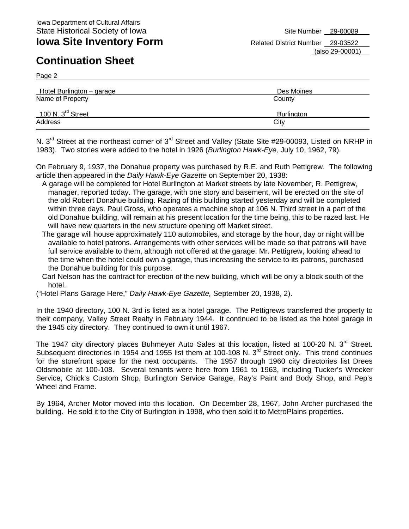Page 2

**Iowa Site Inventory Form** Related District Number 29-03522 (also 29-00001)

| Hotel Burlington – garage     | Des Moines |
|-------------------------------|------------|
| Name of Property              | County     |
| 100 N. $3^{\text{rd}}$ Street | Burlington |
| Address                       | City       |

N. 3<sup>rd</sup> Street at the northeast corner of 3<sup>rd</sup> Street and Valley (State Site #29-00093, Listed on NRHP in 1983). Two stories were added to the hotel in 1926 (*Burlington Hawk-Eye,* July 10, 1962, 79).

On February 9, 1937, the Donahue property was purchased by R.E. and Ruth Pettigrew. The following article then appeared in the *Daily Hawk-Eye Gazette* on September 20, 1938:

- A garage will be completed for Hotel Burlington at Market streets by late November, R. Pettigrew, manager, reported today. The garage, with one story and basement, will be erected on the site of the old Robert Donahue building. Razing of this building started yesterday and will be completed within three days. Paul Gross, who operates a machine shop at 106 N. Third street in a part of the old Donahue building, will remain at his present location for the time being, this to be razed last. He will have new quarters in the new structure opening off Market street.
- The garage will house approximately 110 automobiles, and storage by the hour, day or night will be available to hotel patrons. Arrangements with other services will be made so that patrons will have full service available to them, although not offered at the garage. Mr. Pettigrew, looking ahead to the time when the hotel could own a garage, thus increasing the service to its patrons, purchased the Donahue building for this purpose.
- Carl Nelson has the contract for erection of the new building, which will be only a block south of the hotel.
- ("Hotel Plans Garage Here," *Daily Hawk-Eye Gazette,* September 20, 1938, 2).

In the 1940 directory, 100 N. 3rd is listed as a hotel garage. The Pettigrews transferred the property to their company, Valley Street Realty in February 1944. It continued to be listed as the hotel garage in the 1945 city directory. They continued to own it until 1967.

The 1947 city directory places Buhmeyer Auto Sales at this location, listed at 100-20 N. 3<sup>rd</sup> Street. Subsequent directories in 1954 and 1955 list them at 100-108 N. 3<sup>rd</sup> Street only. This trend continues for the storefront space for the next occupants. The 1957 through 1960 city directories list Drees Oldsmobile at 100-108. Several tenants were here from 1961 to 1963, including Tucker's Wrecker Service, Chick's Custom Shop, Burlington Service Garage, Ray's Paint and Body Shop, and Pep's Wheel and Frame.

By 1964, Archer Motor moved into this location. On December 28, 1967, John Archer purchased the building. He sold it to the City of Burlington in 1998, who then sold it to MetroPlains properties.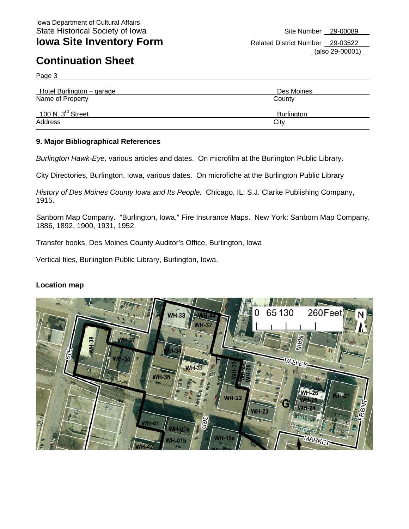Page 3

| Hotel Burlington - garage     | Des Moines        |
|-------------------------------|-------------------|
| Name of Property              | County            |
| 100 N. $3^{\text{rd}}$ Street | <b>Burlington</b> |
| Address                       | City              |

#### **9. Major Bibliographical References**

*Burlington Hawk-Eye,* various articles and dates. On microfilm at the Burlington Public Library.

City Directories, Burlington, Iowa, various dates. On microfiche at the Burlington Public Library

*History of Des Moines County Iowa and Its People.* Chicago, IL: S.J. Clarke Publishing Company, 1915.

Sanborn Map Company. "Burlington, Iowa," Fire Insurance Maps. New York: Sanborn Map Company, 1886, 1892, 1900, 1931, 1952.

Transfer books, Des Moines County Auditor's Office, Burlington, Iowa

Vertical files, Burlington Public Library, Burlington, Iowa.

#### **Location map**

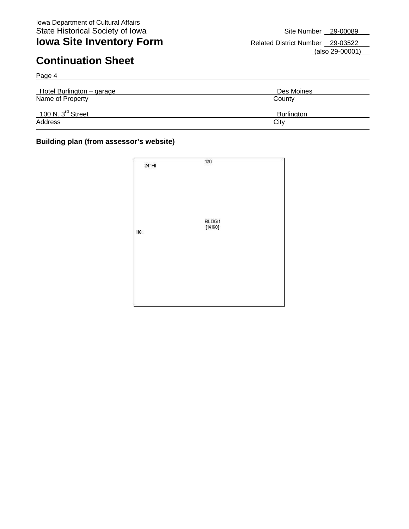Page 4

**Iowa Site Inventory Form** Related District Number 29-03522 (also 29-00001)

| Hotel Burlington – garage     | Des Moines |
|-------------------------------|------------|
| Name of Property              | County     |
| 100 N. $3^{\text{rd}}$ Street | Burlington |
| Address                       | City       |

#### **Building plan (from assessor's website)**

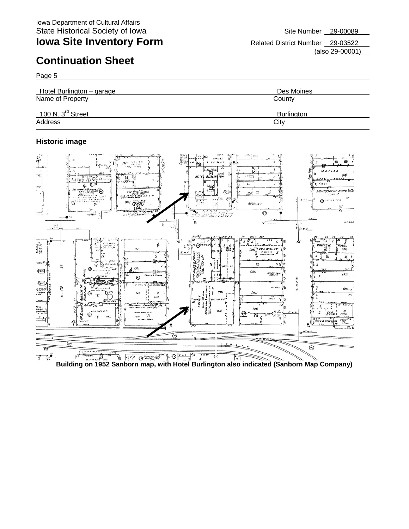Page 5

**Iowa Site Inventory Form** Related District Number 29-03522

(also 29-00001)



### **Historic image**

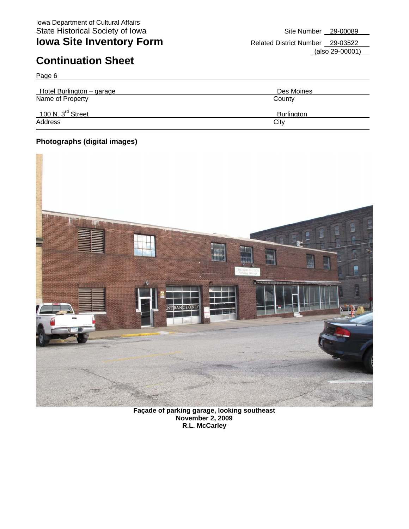Page 6

**Iowa Site Inventory Form** Related District Number 29-03522 (also 29-00001)

| Hotel Burlington - garage     | Des Moines |
|-------------------------------|------------|
| Name of Property              | County     |
| 100 N. $3^{\text{rd}}$ Street | Burlington |
| Address                       | City       |

### **Photographs (digital images)**



**Façade of parking garage, looking southeast November 2, 2009 R.L. McCarley**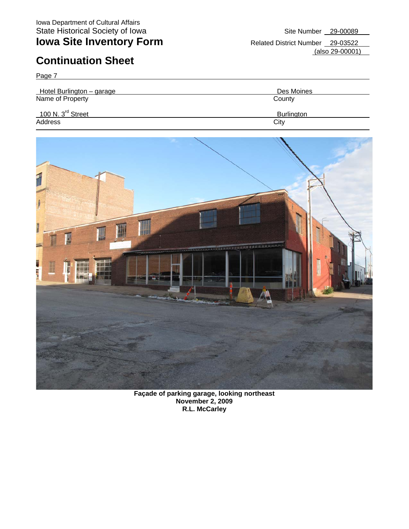Page 7

**Iowa Site Inventory Form** Related District Number 29-03522 (also 29-00001)

| Hotel Burlington - garage       | Des Moines        |  |
|---------------------------------|-------------------|--|
| Name of Property                | County            |  |
| $100$ N. $3^{\text{rd}}$ Street | <b>Burlington</b> |  |
| Address                         | City              |  |
|                                 |                   |  |



**Façade of parking garage, looking northeast November 2, 2009 R.L. McCarley**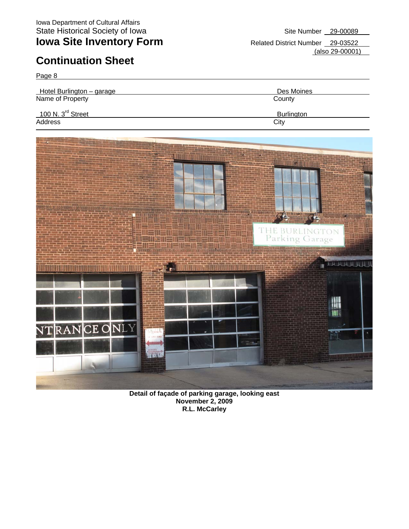Page 8

**Iowa Site Inventory Form** Related District Number 29-03522 (also 29-00001)



**Detail of façade of parking garage, looking east November 2, 2009 R.L. McCarley**